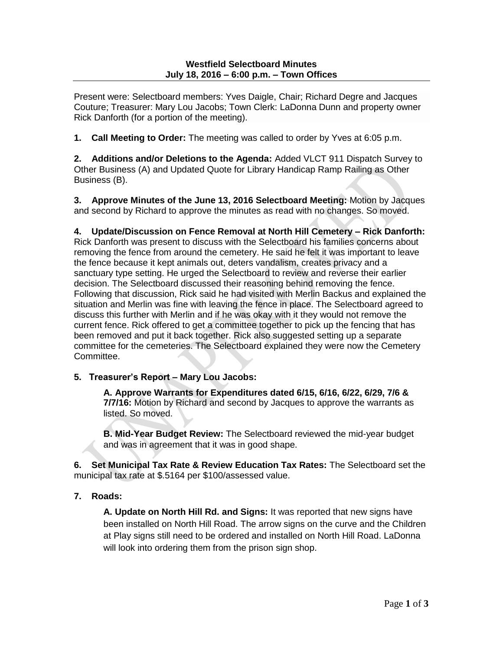Present were: Selectboard members: Yves Daigle, Chair; Richard Degre and Jacques Couture; Treasurer: Mary Lou Jacobs; Town Clerk: LaDonna Dunn and property owner Rick Danforth (for a portion of the meeting).

**1. Call Meeting to Order:** The meeting was called to order by Yves at 6:05 p.m.

**2. Additions and/or Deletions to the Agenda:** Added VLCT 911 Dispatch Survey to Other Business (A) and Updated Quote for Library Handicap Ramp Railing as Other Business (B).

**3. Approve Minutes of the June 13, 2016 Selectboard Meeting:** Motion by Jacques and second by Richard to approve the minutes as read with no changes. So moved.

## **4. Update/Discussion on Fence Removal at North Hill Cemetery – Rick Danforth:**

Rick Danforth was present to discuss with the Selectboard his families concerns about removing the fence from around the cemetery. He said he felt it was important to leave the fence because it kept animals out, deters vandalism, creates privacy and a sanctuary type setting. He urged the Selectboard to review and reverse their earlier decision. The Selectboard discussed their reasoning behind removing the fence. Following that discussion, Rick said he had visited with Merlin Backus and explained the situation and Merlin was fine with leaving the fence in place. The Selectboard agreed to discuss this further with Merlin and if he was okay with it they would not remove the current fence. Rick offered to get a committee together to pick up the fencing that has been removed and put it back together. Rick also suggested setting up a separate committee for the cemeteries. The Selectboard explained they were now the Cemetery Committee.

## **5. Treasurer's Report – Mary Lou Jacobs:**

**A. Approve Warrants for Expenditures dated 6/15, 6/16, 6/22, 6/29, 7/6 & 7/7/16:** Motion by Richard and second by Jacques to approve the warrants as listed. So moved.

**B. Mid-Year Budget Review:** The Selectboard reviewed the mid-year budget and was in agreement that it was in good shape.

**6. Set Municipal Tax Rate & Review Education Tax Rates:** The Selectboard set the municipal tax rate at \$.5164 per \$100/assessed value.

## **7. Roads:**

**A. Update on North Hill Rd. and Signs:** It was reported that new signs have been installed on North Hill Road. The arrow signs on the curve and the Children at Play signs still need to be ordered and installed on North Hill Road. LaDonna will look into ordering them from the prison sign shop.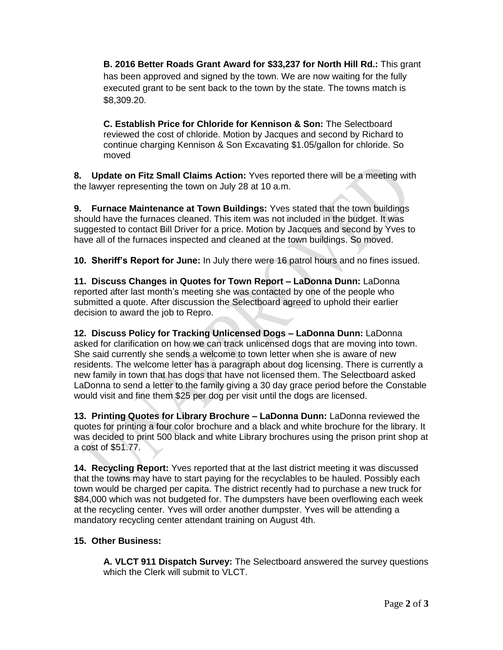**B. 2016 Better Roads Grant Award for \$33,237 for North Hill Rd.:** This grant has been approved and signed by the town. We are now waiting for the fully executed grant to be sent back to the town by the state. The towns match is \$8,309.20.

**C. Establish Price for Chloride for Kennison & Son:** The Selectboard reviewed the cost of chloride. Motion by Jacques and second by Richard to continue charging Kennison & Son Excavating \$1.05/gallon for chloride. So moved

**8. Update on Fitz Small Claims Action:** Yves reported there will be a meeting with the lawyer representing the town on July 28 at 10 a.m.

**9. Furnace Maintenance at Town Buildings:** Yves stated that the town buildings should have the furnaces cleaned. This item was not included in the budget. It was suggested to contact Bill Driver for a price. Motion by Jacques and second by Yves to have all of the furnaces inspected and cleaned at the town buildings. So moved.

**10. Sheriff's Report for June:** In July there were 16 patrol hours and no fines issued.

**11. Discuss Changes in Quotes for Town Report – LaDonna Dunn:** LaDonna reported after last month's meeting she was contacted by one of the people who submitted a quote. After discussion the Selectboard agreed to uphold their earlier decision to award the job to Repro.

**12. Discuss Policy for Tracking Unlicensed Dogs – LaDonna Dunn:** LaDonna asked for clarification on how we can track unlicensed dogs that are moving into town. She said currently she sends a welcome to town letter when she is aware of new residents. The welcome letter has a paragraph about dog licensing. There is currently a new family in town that has dogs that have not licensed them. The Selectboard asked LaDonna to send a letter to the family giving a 30 day grace period before the Constable would visit and fine them \$25 per dog per visit until the dogs are licensed.

**13. Printing Quotes for Library Brochure – LaDonna Dunn:** LaDonna reviewed the quotes for printing a four color brochure and a black and white brochure for the library. It was decided to print 500 black and white Library brochures using the prison print shop at a cost of \$51.77.

**14. Recycling Report:** Yves reported that at the last district meeting it was discussed that the towns may have to start paying for the recyclables to be hauled. Possibly each town would be charged per capita. The district recently had to purchase a new truck for \$84,000 which was not budgeted for. The dumpsters have been overflowing each week at the recycling center. Yves will order another dumpster. Yves will be attending a mandatory recycling center attendant training on August 4th.

## **15. Other Business:**

**A. VLCT 911 Dispatch Survey:** The Selectboard answered the survey questions which the Clerk will submit to VLCT.